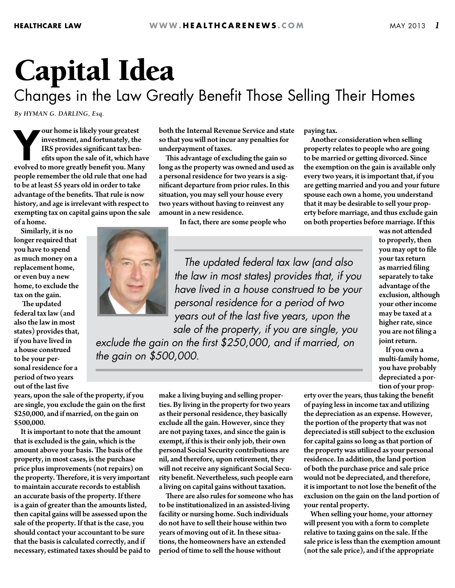## Capital Idea

## Changes in the Law Greatly Benefit Those Selling Their Homes

*By HYMAN G. DARLING, Esq.*

our home is likely your greatest<br>investment, and fortunately, the<br>IRS provides significant tax benefits upon the sale of it, which have<br>evolved to more greatly benefit you. Many our home is likely your greatest investment, and fortunately, the IRS provides significant tax benefits upon the sale of it, which have people remember the old rule that one had to be at least 55 years old in order to take advantage of the benefits. That rule is now history, and age is irrelevant with respect to exempting tax on capital gains upon the sale of a home.

Similarly, it is no longer required that you have to spend as much money on a replacement home, or even buy a new home, to exclude the tax on the gain.

 The updated federal tax law (and also the law in most states) provides that, if you have lived in a house construed to be your personal residence for a period of two years out of the last five

years, upon the sale of the property, if you are single, you exclude the gain on the first \$250,000, and if married, on the gain on \$500,000.

It is important to note that the amount that is excluded is the gain, which is the amount above your basis. The basis of the property, in most cases, is the purchase price plus improvements (not repairs) on the property. Therefore, it is very important to maintain accurate records to establish an accurate basis of the property. If there is a gain of greater than the amounts listed, then capital gains will be assessed upon the sale of the property. If that is the case, you should contact your accountant to be sure that the basis is calculated correctly, and if necessary, estimated taxes should be paid to both the Internal Revenue Service and state so that you will not incur any penalties for underpayment of taxes.

This advantage of excluding the gain so long as the property was owned and used as a personal residence for two years is a significant departure from prior rules. In this situation, you may sell your house every two years without having to reinvest any amount in a new residence.

In fact, there are some people who

 *The updated federal tax law (and also the law in most states) provides that, if you have lived in a house construed to be your personal residence for a period of two years out of the last five years, upon the sale of the property, if you are single, you* 

paying tax.

Another consideration when selling property relates to people who are going to be married or getting divorced. Since the exemption on the gain is available only every two years, it is important that, if you are getting married and you and your future spouse each own a home, you understand that it may be desirable to sell your property before marriage, and thus exclude gain on both properties before marriage. If this

*exclude the gain on the first \$250,000, and if married, on the gain on \$500,000.*

> make a living buying and selling properties. By living in the property for two years as their personal residence, they basically exclude all the gain. However, since they are not paying taxes, and since the gain is exempt, if this is their only job, their own personal Social Security contributions are nil, and therefore, upon retirement, they will not receive any significant Social Security benefit. Nevertheless, such people earn a living on capital gains without taxation. There are also rules for someone who has to be institutionalized in an assisted-living facility or nursing home. Such individuals do not have to sell their house within two years of moving out of it. In these situations, the homeowners have an extended period of time to sell the house without

was not attended to properly, then you may opt to file your tax return as married filing separately to take advantage of the exclusion, although your other income may be taxed at a higher rate, since you are not filing a joint return.

If you own a multi-family home, you have probably depreciated a portion of your prop-

erty over the years, thus taking the benefit of paying less in income tax and utilizing the depreciation as an expense. However, the portion of the property that was not depreciated is still subject to the exclusion for capital gains so long as that portion of the property was utilized as your personal residence. In addition, the land portion of both the purchase price and sale price would not be depreciated, and therefore, it is important to not lose the benefit of the exclusion on the gain on the land portion of your rental property.

When selling your home, your attorney will present you with a form to complete relative to taxing gains on the sale. If the sale price is less than the exemption amount (not the sale price), and if the appropriate